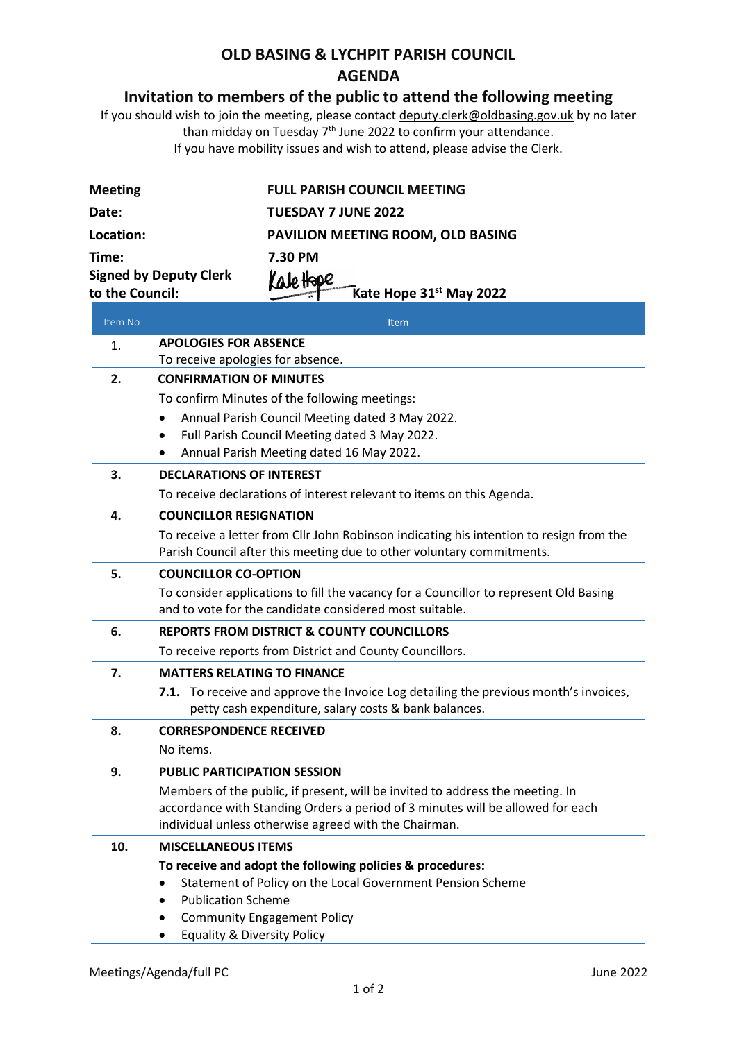## **OLD BASING & LYCHPIT PARISH COUNCIL AGENDA**

## **Invitation to members of the public to attend the following meeting**

If you should wish to join the meeting, please contac[t deputy.clerk@oldbasing.gov.uk](mailto:deputy.clerk@oldbasing.gov.uk) by no later than midday on Tuesday 7<sup>th</sup> June 2022 to confirm your attendance. If you have mobility issues and wish to attend, please advise the Clerk.

| <b>Meeting</b>  |                                                                                         | <b>FULL PARISH COUNCIL MEETING</b>                                                                                                                               |  |
|-----------------|-----------------------------------------------------------------------------------------|------------------------------------------------------------------------------------------------------------------------------------------------------------------|--|
| Date:           |                                                                                         | <b>TUESDAY 7 JUNE 2022</b>                                                                                                                                       |  |
| Location:       |                                                                                         | PAVILION MEETING ROOM, OLD BASING                                                                                                                                |  |
| Time:           |                                                                                         | 7.30 PM                                                                                                                                                          |  |
|                 | <b>Signed by Deputy Clerk</b>                                                           | Kale Hape                                                                                                                                                        |  |
| to the Council: |                                                                                         | Kate Hope 31 <sup>st</sup> May 2022                                                                                                                              |  |
| Item No         |                                                                                         | Item                                                                                                                                                             |  |
| 1.              | <b>APOLOGIES FOR ABSENCE</b><br>To receive apologies for absence.                       |                                                                                                                                                                  |  |
| 2.              | <b>CONFIRMATION OF MINUTES</b>                                                          |                                                                                                                                                                  |  |
|                 |                                                                                         | To confirm Minutes of the following meetings:                                                                                                                    |  |
|                 |                                                                                         | Annual Parish Council Meeting dated 3 May 2022.                                                                                                                  |  |
|                 |                                                                                         | Full Parish Council Meeting dated 3 May 2022.                                                                                                                    |  |
|                 |                                                                                         | Annual Parish Meeting dated 16 May 2022.                                                                                                                         |  |
| 3.              | <b>DECLARATIONS OF INTEREST</b>                                                         |                                                                                                                                                                  |  |
|                 |                                                                                         | To receive declarations of interest relevant to items on this Agenda.                                                                                            |  |
| 4.              | <b>COUNCILLOR RESIGNATION</b>                                                           |                                                                                                                                                                  |  |
|                 |                                                                                         | To receive a letter from Cllr John Robinson indicating his intention to resign from the<br>Parish Council after this meeting due to other voluntary commitments. |  |
| 5.              | <b>COUNCILLOR CO-OPTION</b>                                                             |                                                                                                                                                                  |  |
|                 |                                                                                         | To consider applications to fill the vacancy for a Councillor to represent Old Basing<br>and to vote for the candidate considered most suitable.                 |  |
| 6.              |                                                                                         | <b>REPORTS FROM DISTRICT &amp; COUNTY COUNCILLORS</b>                                                                                                            |  |
|                 |                                                                                         | To receive reports from District and County Councillors.                                                                                                         |  |
| 7.              | <b>MATTERS RELATING TO FINANCE</b>                                                      |                                                                                                                                                                  |  |
|                 | 7.1.                                                                                    | To receive and approve the Invoice Log detailing the previous month's invoices,<br>petty cash expenditure, salary costs & bank balances.                         |  |
| Ջ               | <b>CORRESPONDENCE RECEIVED</b>                                                          |                                                                                                                                                                  |  |
|                 | No items.                                                                               |                                                                                                                                                                  |  |
| 9.              | <b>PUBLIC PARTICIPATION SESSION</b>                                                     |                                                                                                                                                                  |  |
|                 |                                                                                         | Members of the public, if present, will be invited to address the meeting. In                                                                                    |  |
|                 |                                                                                         | accordance with Standing Orders a period of 3 minutes will be allowed for each<br>individual unless otherwise agreed with the Chairman.                          |  |
| 10.             |                                                                                         |                                                                                                                                                                  |  |
|                 | <b>MISCELLANEOUS ITEMS</b><br>To receive and adopt the following policies & procedures: |                                                                                                                                                                  |  |
|                 |                                                                                         | Statement of Policy on the Local Government Pension Scheme                                                                                                       |  |
|                 | <b>Publication Scheme</b>                                                               |                                                                                                                                                                  |  |
|                 |                                                                                         | <b>Community Engagement Policy</b>                                                                                                                               |  |
|                 | <b>Equality &amp; Diversity Policy</b>                                                  |                                                                                                                                                                  |  |